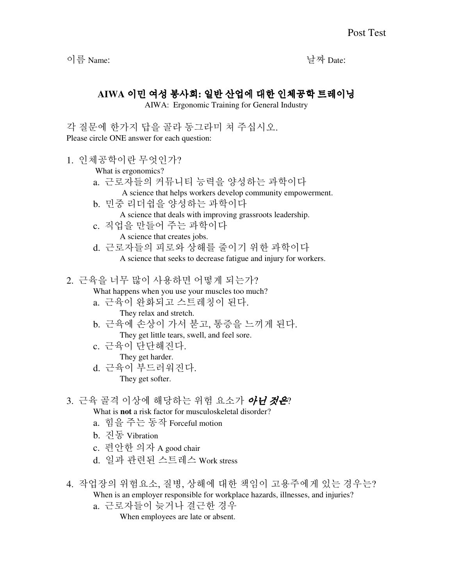이름 Name: 날짜 Date:

## **AIWA** 이민 여성 봉사회**:** 일반 산업에 대한 인체공학 트레이닝

AIWA: Ergonomic Training for General Industry

각 질문에 한가지 답을 골라 동그라미 쳐 주십시오. Please circle ONE answer for each question:

1. 인체공학이란 무엇인가?

What is ergonomics?

- a. 근로자들의 커뮤니티 능력을 양성하는 과학이다
- A science that helps workers develop community empowerment.
- b. 민중 리더쉽을 양성하는 과학이다 A science that deals with improving grassroots leadership.
- c. 직업을 만들어 주는 과학이다 A science that creates jobs.
- d. 근로자들의 피로와 상해를 줄이기 위한 과학이다 A science that seeks to decrease fatigue and injury for workers.

2. 근육을 너무 많이 사용하면 어떻게 되는가?

What happens when you use your muscles too much?

- a. 근육이 완화되고 스트레칭이 된다. They relax and stretch.
- b. 근육에 손상이 가서 붇고, 통증을 느끼게 된다. They get little tears, swell, and feel sore.
- c. 근육이 단단해진다. They get harder.
- d. 근육이 부드러워진다. They get softer.
- 3. 근육 골격 이상에 해당하는 위험 요소가 *아니 것은*?
	- What is **not** a risk factor for musculoskeletal disorder?
	- a. 힘을 주는 동작 Forceful motion
	- b. 진동 Vibration
	- c. 편안한 의자 A good chair
	- d. 일과 관련된 스트레스 Work stress
- 4. 작업장의 위험요소, 질병, 상해에 대한 책임이 고용주에게 있는 경우는? When is an employer responsible for workplace hazards, illnesses, and injuries?
	- a. 근로자들이 늦거나 결근한 경우

When employees are late or absent.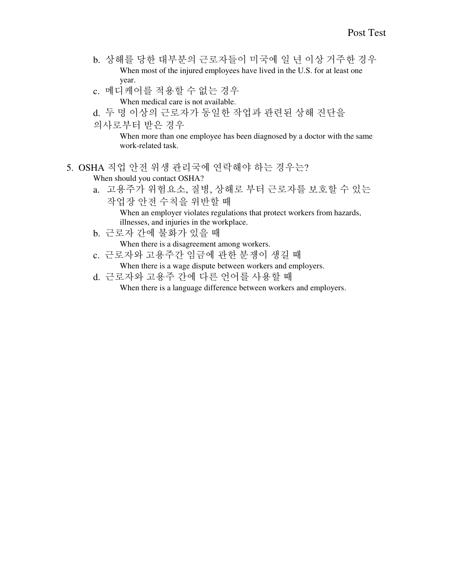- b. 상해를 당한 대부분의 근로자들이 미국에 일 년 이상 거주한 경우 When most of the injured employees have lived in the U.S. for at least one year.
- c. 메디케어를 적용할 수 없는 경우 When medical care is not available.
- d. 두 명 이상의 근로자가 동일한 작업과 관련된 상해 진단을
- 의사로부터 받은 경우

When more than one employee has been diagnosed by a doctor with the same work-related task.

- 5. OSHA 직업 안전 위생 관리국에 연락해야 하는 경우는? When should you contact OSHA?
	- a. 고용주가 위험요소, 질병, 상해로 부터 근로자를 보호할 수 있는 작업장 안전 수칙을 위반할 때 When an employer violates regulations that protect workers from hazards, illnesses, and injuries in the workplace.
	- b. 근로자 간에 불화가 있을 때

When there is a disagreement among workers.

- c. 근로자와 고용주간 임금에 관한 분쟁이 생길 때
	- When there is a wage dispute between workers and employers.
- d. 근로자와 고용주 간에 다른 언어를 사용할 때 When there is a language difference between workers and employers.